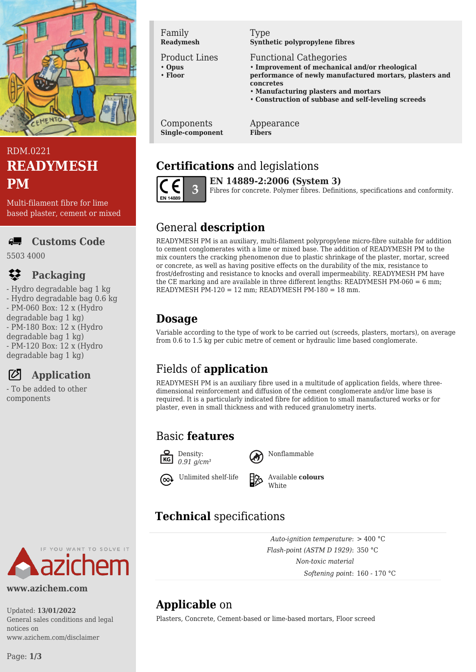

## RDM.0221 **READYMESH PM**

Multi-filament fibre for lime based plaster, cement or mixed

#### **Customs Code** AL.

5503 4000

## **Packaging**

- Hydro degradable bag 1 kg - Hydro degradable bag 0.6 kg - PM-060 Box: 12 x (Hydro degradable bag 1 kg) - PM-180 Box: 12 x (Hydro degradable bag 1 kg) - PM-120 Box: 12 x (Hydro degradable bag 1 kg)



- To be added to other components

Family **Readymesh**

#### Product Lines

- **Opus** • **Floor**
- 

#### Type **Synthetic polypropylene fibres**

Functional Cathegories

• **Improvement of mechanical and/or rheological performance of newly manufactured mortars, plasters and concretes**

- **Manufacturing plasters and mortars**
- **Construction of subbase and self-leveling screeds**

Components **Single-component**

#### Appearance **Fibers**

# **Certifications** and legislations



**EN 14889-2:2006 (System 3)** Fibres for concrete. Polymer fibres. Definitions, specifications and conformity.

## General **description**

READYMESH PM is an auxiliary, multi-filament polypropylene micro-fibre suitable for addition to cement conglomerates with a lime or mixed base. The addition of READYMESH PM to the mix counters the cracking phenomenon due to plastic shrinkage of the plaster, mortar, screed or concrete, as well as having positive effects on the durability of the mix, resistance to frost/defrosting and resistance to knocks and overall impermeability. READYMESH PM have the CE marking and are available in three different lengths: READYMESH PM-060 = 6 mm; READYMESH PM-120 = 12 mm; READYMESH PM-180 = 18 mm.

## **Dosage**

Variable according to the type of work to be carried out (screeds, plasters, mortars), on average from 0.6 to 1.5 kg per cubic metre of cement or hydraulic lime based conglomerate.

# Fields of **application**

READYMESH PM is an auxiliary fibre used in a multitude of application fields, where threedimensional reinforcement and diffusion of the cement conglomerate and/or lime base is required. It is a particularly indicated fibre for addition to small manufactured works or for plaster, even in small thickness and with reduced granulometry inerts.

### Basic **features**



Nonflammable

Unlimited shelf-life Available **colours White** 

> *Auto-ignition temperature*: > 400 °C *Flash-point (ASTM D 1929)*: 350 °C *Non-toxic material*

> > *Softening point*: 160 - 170 °C

# **Technical** specifications

YOU WANT TO SOLVE IT

#### **www.azichem.com**

Updated: **13/01/2022** General sales conditions and legal notices on www.azichem.com/disclaimer

**Applicable** on

Plasters, Concrete, Cement-based or lime-based mortars, Floor screed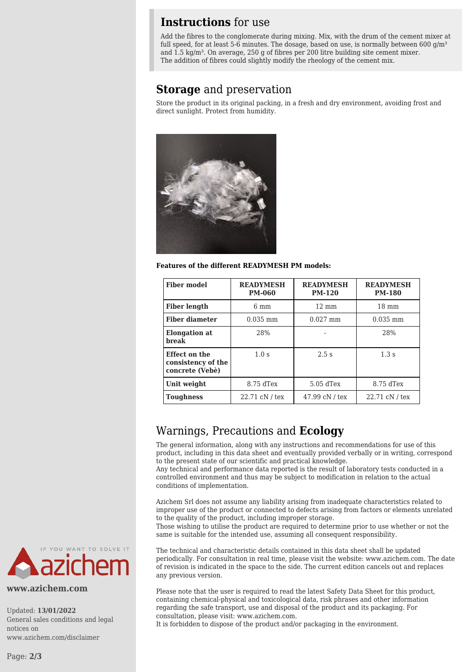#### **Instructions** for use

Add the fibres to the conglomerate during mixing. Mix, with the drum of the cement mixer at full speed, for at least 5-6 minutes. The dosage, based on use, is normally between 600  $g/m<sup>3</sup>$ and 1.5 kg/m<sup>3</sup>. On average, 250 g of fibres per 200 litre building site cement mixer. The addition of fibres could slightly modify the rheology of the cement mix.

#### **Storage** and preservation

Store the product in its original packing, in a fresh and dry environment, avoiding frost and direct sunlight. Protect from humidity.



**Features of the different READYMESH PM models:**

| <b>Fiber model</b>                                     | <b>READYMESH</b><br><b>PM-060</b> | <b>READYMESH</b><br><b>PM-120</b> | <b>READYMESH</b><br><b>PM-180</b> |
|--------------------------------------------------------|-----------------------------------|-----------------------------------|-----------------------------------|
| <b>Fiber length</b>                                    | 6 mm                              | $12 \text{ mm}$                   | $18 \text{ mm}$                   |
| <b>Fiber diameter</b>                                  | $0.035$ mm                        | $0.027$ mm                        | $0.035$ mm                        |
| <b>Elongation</b> at<br><b>break</b>                   | 28%                               |                                   | 28%                               |
| Effect on the<br>consistency of the<br>concrete (Vebè) | 1.0 <sub>s</sub>                  | 2.5s                              | 1.3s                              |
| Unit weight                                            | $8.75$ dTex                       | $5.05$ dTex                       | $8.75$ dTex                       |
| <b>Toughness</b>                                       | 22.71 cN / tex                    | $47.99$ cN / tex                  | 22.71 cN / tex                    |

#### Warnings, Precautions and **Ecology**

The general information, along with any instructions and recommendations for use of this product, including in this data sheet and eventually provided verbally or in writing, correspond to the present state of our scientific and practical knowledge.

Any technical and performance data reported is the result of laboratory tests conducted in a controlled environment and thus may be subject to modification in relation to the actual conditions of implementation.

Azichem Srl does not assume any liability arising from inadequate characteristics related to improper use of the product or connected to defects arising from factors or elements unrelated to the quality of the product, including improper storage.

Those wishing to utilise the product are required to determine prior to use whether or not the same is suitable for the intended use, assuming all consequent responsibility.

The technical and characteristic details contained in this data sheet shall be updated periodically. For consultation in real time, please visit the website: www.azichem.com. The date of revision is indicated in the space to the side. The current edition cancels out and replaces any previous version.

Please note that the user is required to read the latest Safety Data Sheet for this product, containing chemical-physical and toxicological data, risk phrases and other information regarding the safe transport, use and disposal of the product and its packaging. For consultation, please visit: www.azichem.com.

It is forbidden to dispose of the product and/or packaging in the environment.



**www.azichem.com**

Updated: **13/01/2022** General sales conditions and legal notices on www.azichem.com/disclaimer